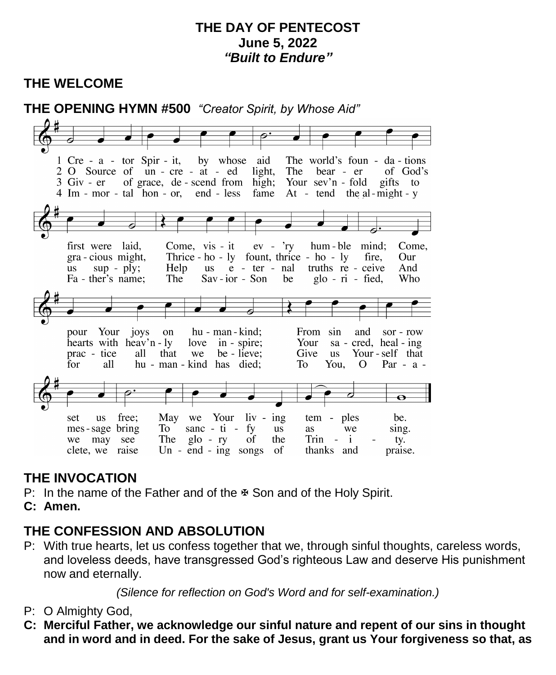#### **THE DAY OF PENTECOST June 5, 2022** *"Built to Endure"*

## **THE WELCOME**



## **THE INVOCATION**

- P: In the name of the Father and of the  $\Phi$  Son and of the Holy Spirit.
- **C: Amen.**

### **THE CONFESSION AND ABSOLUTION**

P: With true hearts, let us confess together that we, through sinful thoughts, careless words, and loveless deeds, have transgressed God's righteous Law and deserve His punishment now and eternally.

*(Silence for reflection on God's Word and for self-examination.)*

- P: O Almighty God,
- **C: Merciful Father, we acknowledge our sinful nature and repent of our sins in thought and in word and in deed. For the sake of Jesus, grant us Your forgiveness so that, as**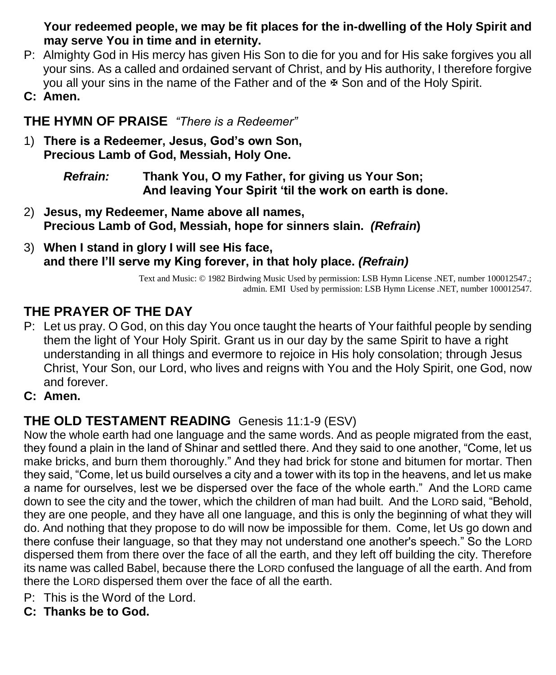**Your redeemed people, we may be fit places for the in-dwelling of the Holy Spirit and may serve You in time and in eternity.**

- P: Almighty God in His mercy has given His Son to die for you and for His sake forgives you all your sins. As a called and ordained servant of Christ, and by His authority, I therefore forgive you all your sins in the name of the Father and of the  $\overline{x}$  Son and of the Holv Spirit.
- **C: Amen.**

### **THE HYMN OF PRAISE** *"There is a Redeemer"*

1) **There is a Redeemer, Jesus, God's own Son, Precious Lamb of God, Messiah, Holy One.**

> *Refrain:* **Thank You, O my Father, for giving us Your Son; And leaving Your Spirit 'til the work on earth is done.**

- 2) **Jesus, my Redeemer, Name above all names, Precious Lamb of God, Messiah, hope for sinners slain.** *(Refrain***)**
- 3) **When I stand in glory I will see His face, and there I'll serve my King forever, in that holy place.** *(Refrain)*

Text and Music: © 1982 Birdwing Music Used by permission: LSB Hymn License .NET, number 100012547.; admin. EMI Used by permission: LSB Hymn License .NET, number 100012547.

# **THE PRAYER OF THE DAY**

- P: Let us pray. O God, on this day You once taught the hearts of Your faithful people by sending them the light of Your Holy Spirit. Grant us in our day by the same Spirit to have a right understanding in all things and evermore to rejoice in His holy consolation; through Jesus Christ, Your Son, our Lord, who lives and reigns with You and the Holy Spirit, one God, now and forever.
- **C: Amen.**

# **THE OLD TESTAMENT READING** Genesis 11:1-9 (ESV)

Now the whole earth had one language and the same words. And as people migrated from the east, they found a plain in the land of Shinar and settled there. And they said to one another, "Come, let us make bricks, and burn them thoroughly." And they had brick for stone and bitumen for mortar. Then they said, "Come, let us build ourselves a city and a tower with its top in the heavens, and let us make a name for ourselves, lest we be dispersed over the face of the whole earth." And the LORD came down to see the city and the tower, which the children of man had built. And the LORD said, "Behold, they are one people, and they have all one language, and this is only the beginning of what they will do. And nothing that they propose to do will now be impossible for them. Come, let Us go down and there confuse their language, so that they may not understand one another's speech." So the LORD dispersed them from there over the face of all the earth, and they left off building the city. Therefore its name was called Babel, because there the LORD confused the language of all the earth. And from there the LORD dispersed them over the face of all the earth.

- P: This is the Word of the Lord.
- **C: Thanks be to God.**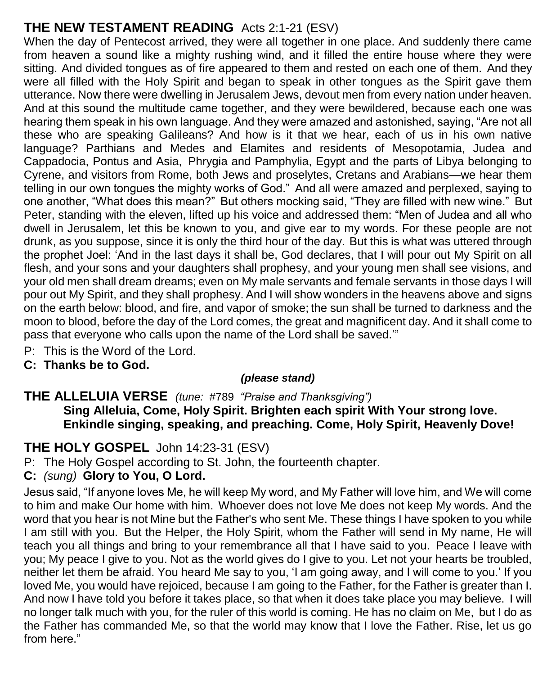# **THE NEW TESTAMENT READING** Acts 2:1-21 (ESV)

When the day of Pentecost arrived, they were all together in one place. And suddenly there came from heaven a sound like a mighty rushing wind, and it filled the entire house where they were sitting. And divided tongues as of fire appeared to them and rested on each one of them. And they were all filled with the Holy Spirit and began to speak in other tongues as the Spirit gave them utterance. Now there were dwelling in Jerusalem Jews, devout men from every nation under heaven. And at this sound the multitude came together, and they were bewildered, because each one was hearing them speak in his own language. And they were amazed and astonished, saying, "Are not all these who are speaking Galileans? And how is it that we hear, each of us in his own native language? Parthians and Medes and Elamites and residents of Mesopotamia, Judea and Cappadocia, Pontus and Asia, Phrygia and Pamphylia, Egypt and the parts of Libya belonging to Cyrene, and visitors from Rome, both Jews and proselytes, Cretans and Arabians—we hear them telling in our own tongues the mighty works of God." And all were amazed and perplexed, saying to one another, "What does this mean?" But others mocking said, "They are filled with new wine." But Peter, standing with the eleven, lifted up his voice and addressed them: "Men of Judea and all who dwell in Jerusalem, let this be known to you, and give ear to my words. For these people are not drunk, as you suppose, since it is only the third hour of the day. But this is what was uttered through the prophet Joel: 'And in the last days it shall be, God declares, that I will pour out My Spirit on all flesh, and your sons and your daughters shall prophesy, and your young men shall see visions, and your old men shall dream dreams; even on My male servants and female servants in those days I will pour out My Spirit, and they shall prophesy. And I will show wonders in the heavens above and signs on the earth below: blood, and fire, and vapor of smoke; the sun shall be turned to darkness and the moon to blood, before the day of the Lord comes, the great and magnificent day. And it shall come to pass that everyone who calls upon the name of the Lord shall be saved.'"

- P: This is the Word of the Lord.
- **C: Thanks be to God.**

#### *(please stand)*

**THE ALLELUIA VERSE** *(tune:* #789 *"Praise and Thanksgiving")* **Sing Alleluia, Come, Holy Spirit. Brighten each spirit With Your strong love. Enkindle singing, speaking, and preaching. Come, Holy Spirit, Heavenly Dove!**

## **THE HOLY GOSPEL** John 14:23-31 (ESV)

P: The Holy Gospel according to St. John, the fourteenth chapter.

### **C:** *(sung)* **Glory to You, O Lord.**

Jesus said, "If anyone loves Me, he will keep My word, and My Father will love him, and We will come to him and make Our home with him. Whoever does not love Me does not keep My words. And the word that you hear is not Mine but the Father's who sent Me. These things I have spoken to you while I am still with you. But the Helper, the Holy Spirit, whom the Father will send in My name, He will teach you all things and bring to your remembrance all that I have said to you. Peace I leave with you; My peace I give to you. Not as the world gives do I give to you. Let not your hearts be troubled, neither let them be afraid. You heard Me say to you, 'I am going away, and I will come to you.' If you loved Me, you would have rejoiced, because I am going to the Father, for the Father is greater than I. And now I have told you before it takes place, so that when it does take place you may believe. I will no longer talk much with you, for the ruler of this world is coming. He has no claim on Me, but I do as the Father has commanded Me, so that the world may know that I love the Father. Rise, let us go from here."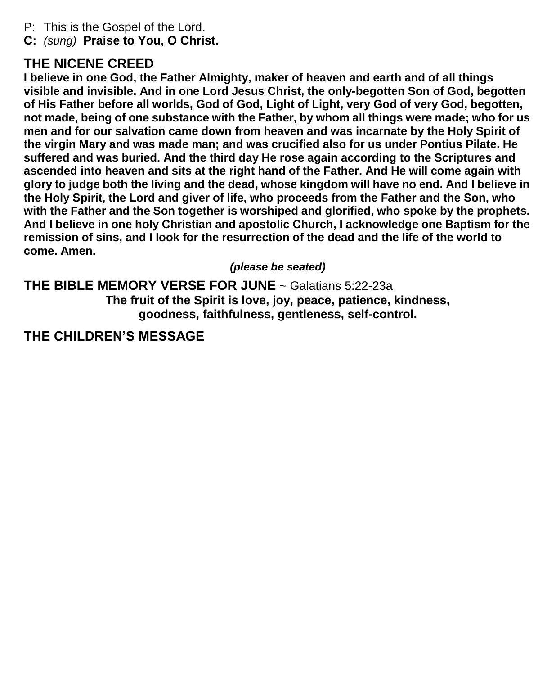- P: This is the Gospel of the Lord.
- **C:** *(sung)* **Praise to You, O Christ.**

#### **THE NICENE CREED**

**I believe in one God, the Father Almighty, maker of heaven and earth and of all things visible and invisible. And in one Lord Jesus Christ, the only-begotten Son of God, begotten of His Father before all worlds, God of God, Light of Light, very God of very God, begotten, not made, being of one substance with the Father, by whom all things were made; who for us men and for our salvation came down from heaven and was incarnate by the Holy Spirit of the virgin Mary and was made man; and was crucified also for us under Pontius Pilate. He suffered and was buried. And the third day He rose again according to the Scriptures and ascended into heaven and sits at the right hand of the Father. And He will come again with glory to judge both the living and the dead, whose kingdom will have no end. And I believe in the Holy Spirit, the Lord and giver of life, who proceeds from the Father and the Son, who with the Father and the Son together is worshiped and glorified, who spoke by the prophets. And I believe in one holy Christian and apostolic Church, I acknowledge one Baptism for the remission of sins, and I look for the resurrection of the dead and the life of the world to come. Amen.**

*(please be seated)*

**THE BIBLE MEMORY VERSE FOR JUNE** ~ Galatians 5:22-23a **The fruit of the Spirit is love, joy, peace, patience, kindness, goodness, faithfulness, gentleness, self-control.**

**THE CHILDREN'S MESSAGE**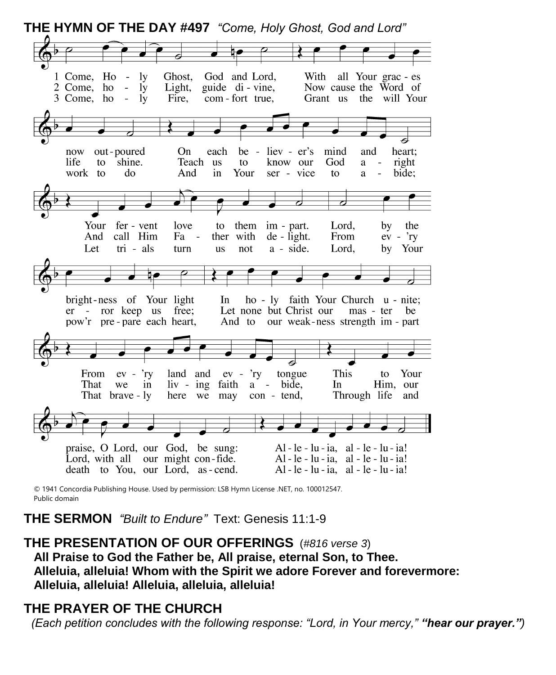

© 1941 Concordia Publishing House. Used by permission: LSB Hymn License .NET, no. 100012547. Public domain

**THE SERMON** *"Built to Endure"* Text: Genesis 11:1-9

**THE PRESENTATION OF OUR OFFERINGS** (*#816 verse 3*) **All Praise to God the Father be, All praise, eternal Son, to Thee. Alleluia, alleluia! Whom with the Spirit we adore Forever and forevermore: Alleluia, alleluia! Alleluia, alleluia, alleluia!**

#### **THE PRAYER OF THE CHURCH**

*(Each petition concludes with the following response: "Lord, in Your mercy," "hear our prayer.")*